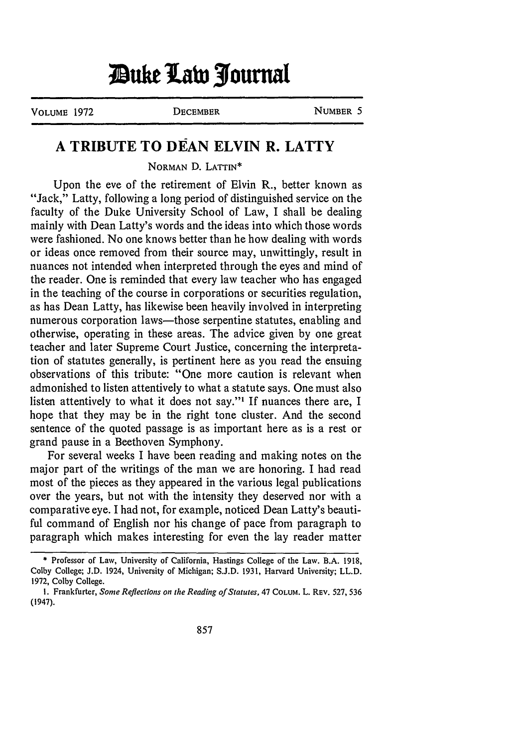# **N1ke lawi 31ournat**

| VOLUME 1972 | DECEMBER | NUMBER 5 |
|-------------|----------|----------|
|             |          |          |

## **A TRIBUTE TO DEAN ELVIN R. LATTY**

**NORMAN** D. **LATTIN\***

Upon the eve of the retirement of Elvin R., better known as "Jack," Latty, following a long period of distinguished service on the faculty of the Duke University School of Law, I shall be dealing mainly with Dean Latty's words and the ideas into which those words were fashioned. No one knows better than he how dealing with words or ideas once removed from their source may, unwittingly, result in nuances not intended when interpreted through the eyes and mind of the reader. One is reminded that every law teacher who has engaged in the teaching of the course in corporations or securities regulation, as has Dean Latty, has likewise been heavily involved in interpreting numerous corporation laws—those serpentine statutes, enabling and otherwise, operating in these areas. The advice given **by** one great teacher and later Supreme Court Justice, concerning the interpretation of statutes generally, is pertinent here as you read the ensuing observations of this tribute: "One more caution is relevant when admonished to listen attentively to what a statute says. One must also listen attentively to what it does not say."' **If** nuances there are, I hope that they may be in the right tone cluster. And the second sentence of the quoted passage is as important here as is a rest or grand pause in a Beethoven Symphony.

For several weeks I have been reading and making notes on the major part of the writings of the man we are honoring. I had read most of the pieces as they appeared in the various legal publications over the years, but not with the intensity they deserved nor with a comparative eye. I had not, for example, noticed Dean Latty's beautiful command of English nor his change of pace from paragraph to paragraph which makes interesting for even the lay reader matter

**<sup>\*</sup>** Professor of Law, University of California, Hastings College of the Law. B.A. 1918, Colby College; J.D. 1924, University of Michigan; S.J.D. 1931, Harvard University; LL.D. 1972, Colby College.

**I.** Frankfurter, *Some Reflections on the Reading of Statutes,* 47 COLuM. L. REV. 527, 536 (1947).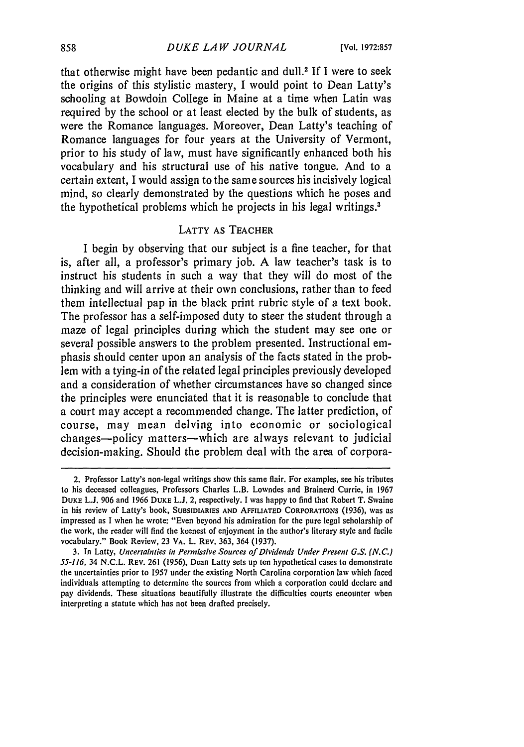that otherwise might have been pedantic and dull.2 If I were to seek the origins of this stylistic mastery, I would point to Dean Latty's schooling at Bowdoin College in Maine at a time when Latin was required by the school or at least elected by the bulk of students, as were the Romance languages. Moreover, Dean Latty's teaching of Romance languages for four years at the University of Vermont, prior to his study of law, must have significantly enhanced both his vocabulary and his structural use of his native tongue. And to a certain extent, I would assign to the same sources his incisively logical mind, so clearly demonstrated by the questions which he poses and the hypothetical problems which he projects in his legal writings.'

### LATTY AS TEACHER

I begin by observing that our subject is a fine teacher, for that is, after all, a professor's primary job. A law teacher's task is to instruct his students in such a way that they will do most of the thinking and will arrive at their own conclusions, rather than to feed them intellectual pap in the black print rubric style of a text book. The professor has a self-imposed duty to steer the student through a maze of legal principles during which the student may see one or several possible answers to the problem presented. Instructional emphasis should center upon an analysis of the facts stated in the problem with a tying-in of the related legal principles previously developed and a consideration of whether circumstances have so changed since the principles were enunciated that it is reasonable to conclude that a court may accept a recommended change. The latter prediction, of course, may mean delving into economic or sociological changes-policy matters-which are always relevant to judicial decision-making. Should the problem deal with the area of corpora-

<sup>2.</sup> Professor Latty's non-legal writings show this same flair. For examples, see his tributes to his deceased colleagues, Professors Charles L.B. Lowndes and Brainerd Currie, in 1967 DUKE L.J. **906** and **1966** DUKE L.J. 2, respectively. I was happy to find that Robert T. Swaine in his review of Latty's book, **SUBSIDIARIES AND** AFFILIATED CORPORATIONS (1936), was as impressed as I when he wrote: "Even beyond his admiration for the pure legal scholarship of the work, the reader will find the keenest of enjoyment in the author's literary style and facile vocabulary." Book Review, 23 VA. L. REv. 363, 364 (1937).

<sup>3.</sup> In Latty, *Uncertainties in Permissive Sources of Dividends Under Present ,S. (N.C.) 55-116,* 34 N.C.L. REv. 261 (1956), Dean Latty sets up ten hypothetical cases to demonstrate the uncertainties prior to 1957 under the existing North Carolina corporation law which faced individuals attempting to determine the sources from which a corporation could declare and pay dividends. These situations beautifully illustrate the difficulties courts encounter when interpreting a statute which has not been drafted precisely.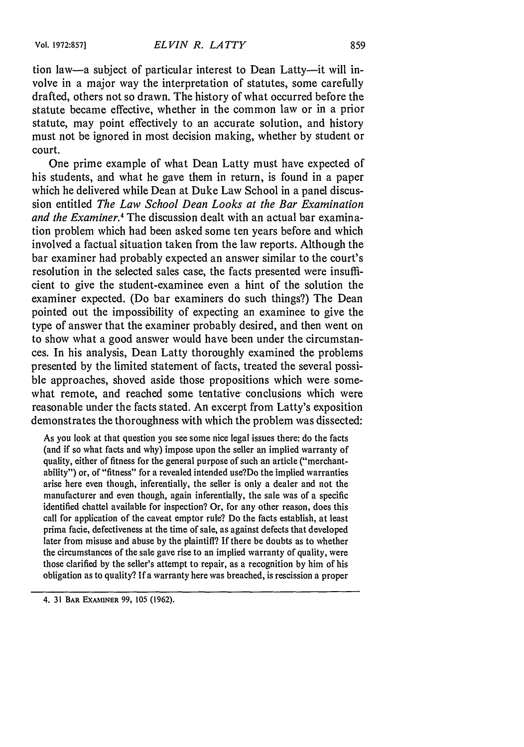tion law-a subject of particular interest to Dean Latty-it will involve in a major way the interpretation of statutes, some carefully drafted, others not so drawn. The history of what occurred before the statute became effective, whether in the common law or in a prior statute, may point effectively to an accurate solution, and history must not be ignored in most decision making, whether by student or court.

One prime example of what Dean Latty must have expected of his students, and what he gave them in return, is found in a paper which he delivered while Dean at Duke Law School in a panel discussion entitled *The Law School Dean Looks at the Bar Examination and the Examiner.4* The discussion dealt with an actual bar examination problem which had been asked some ten years before and which involved a factual situation taken from the law reports. Although the bar examiner had probably expected an answer similar to the court's resolution in the selected sales case, the facts presented were insufficient to give the student-examinee even a hint of the solution the examiner expected. (Do bar examiners do such things?) The Dean pointed out the impossibility of expecting an examinee to give the type of answer that the examiner probably desired, and then went on to show what a good answer would have been under the circumstances. In his analysis, Dean Latty thoroughly examined the problems presented by the limited statement of facts, treated the several possible approaches, shoved aside those propositions which were somewhat remote, and reached some tentative conclusions which were reasonable under the facts stated. An excerpt from Latty's exposition demonstrates the thoroughness with which the problem was dissected:

As you look at that question you see some nice legal issues there: do the facts (and if so what facts and why) impose upon the seller an implied warranty of quality, either of fitness for the general purpose of such an article ("merchantability") or, of "fitness" for a revealed intended use?Do the implied warranties arise here even though, inferentially, the seller is only a dealer and not the manufacturer and even though, again inferentially, the sale was of a specific identified chattel available for inspection? Or, for any other reason, does this call for application of the caveat emptor rule? Do the facts establish, at least prima facie, defectiveness at the time of sale, as against defects that developed later from misuse and abuse by the plaintiff? If there be doubts as to whether the circumstances of the sale gave rise to an implied warranty of quality, were those clarified by the seller's attempt to repair, as a recognition by him of his obligation as to quality? If a warranty here was breached, is rescission a proper

<sup>4. 31</sup> BAR EXAMINER **99, 105 (1962).**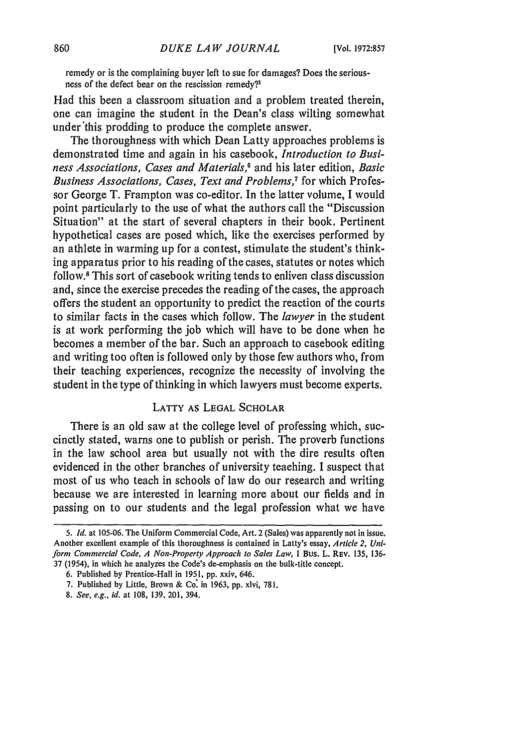remedy or is the complaining buyer left to sue for damages? Does the seriousness of the defect bear on the rescission remedy?<sup>5</sup>

Had this been a classroom situation and a problem treated therein, one can imagine the student in the Dean's class wilting somewhat under'this prodding to produce the complete answer.

The thoroughness with which Dean Latty approaches problems is demonstrated time and again in his casebook, *Introduction to Business Associations, Cases and Materials,6* and his later edition, *Basic Business Associations, Cases, Text and Problems,7* for which Professor George T. Frampton was co-editor. In the latter volume, I would point particularly to the use of what the authors call the "Discussion Situation" at the start of several chapters in their book. Pertinent hypothetical cases are posed which, like the exercises performed by an athlete in warming up for a contest, stimulate the student's thinking apparatus prior to his reading of the cases, statutes or notes which follow.8 This sort of casebook writing tends to enliven class discussion and, since the exercise precedes the reading of the cases, the approach offers the student an opportunity to predict the reaction of the courts to similar facts in the cases which follow. The *lawyer* in the student is at work performing the job which will have to be done when he becomes a member of the bar. Such an approach to casebook editing and writing too often is followed only by those few authors who, from their teaching experiences, recognize the necessity of involving the student in the type of thinking in which lawyers must become experts.

#### LATTY AS **LEGAL** SCHOLAR

There is an old saw at the college level of professing which, succinctly stated, warns one to publish or perish. The proverb functions in the law school area but usually not with the dire results often evidenced in the other branches of university teaching. I suspect that most of us who teach in schools of law do our research and writing because we are interested in learning more about our fields and in passing on to our students and the legal profession what we have

6. Published by Prentice-Hall in 1951, pp. xxiv, 646.

*8.* See, e.g., id. at 108, 139, 201, 394.

*<sup>5.</sup>* Id. at 105-06. The Uniform Commercial Code, Art. 2 (Sales) was apparently not in issue. Another excellent example of this thoroughness is contained in Latty's essay, Article 2, *Untl*form Commercial Code, A Non-Property Approach to Sales Law, *I* Bus. L. REv. 135, 136- 37 (1954), in which he analyzes the Code's de-emphasis on the bulk-title concept.

<sup>7.</sup> Published by Little, Brown & Co. in 1963, pp. xlvi, 781.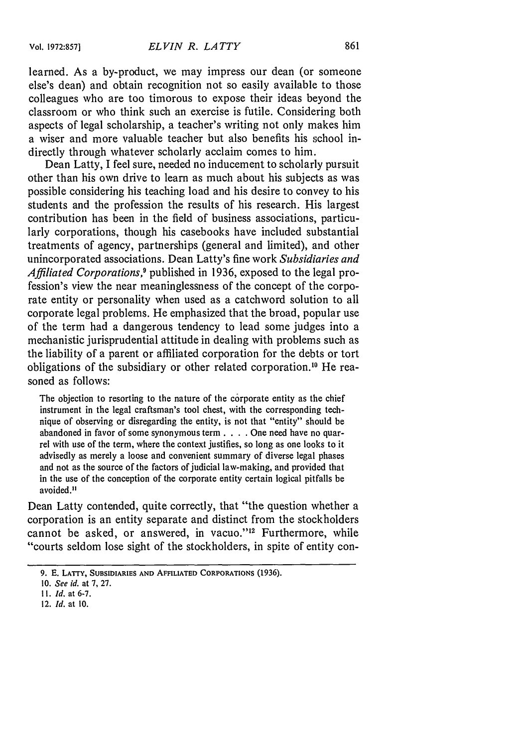learned. As a by-product, we may impress our dean (or someone else's dean) and obtain recognition not so easily available to those colleagues who are too timorous to expose their ideas beyond the classroom or who think such an exercise is futile. Considering both aspects of legal scholarship, a teacher's writing not only makes him a wiser and more valuable teacher but also benefits his school indirectly through whatever scholarly acclaim comes to him.

Dean Latty, I feel sure, needed no inducement to scholarly pursuit other than his own drive to learn as much about his subjects as was possible considering his teaching load and his desire to convey to his students and the profession the results of his research. His largest contribution has been in the field of business associations, particularly corporations, though his casebooks have included substantial treatments of agency, partnerships (general and limited), and other unincorporated associations. Dean Latty's fine work *Subsidiaries and Affiliated Corporations,'* published in 1936, exposed to the legal profession's view the near meaninglessness of the concept of the corporate entity or personality when used as a catchword solution to all corporate legal problems. He emphasized that the broad, popular use of the term had a dangerous tendency to lead some judges into a mechanistic jurisprudential attitude in dealing with problems such as the liability of a parent or affiliated corporation for the debts or tort obligations of the subsidiary or other related corporation."0 He reasoned as follows:

The objection to resorting to the nature of the corporate entity as the chief instrument in the legal craftsman's tool chest, with the corresponding technique of observing or disregarding the entity, is not that "entity" should be abandoned in favor of some synonymous term. . **.** . One need have no quarrel with use of the term, where the context justifies, so long as one looks to it advisedly as merely a loose and convenient summary of diverse legal phases and not as the source of the factors of judicial law-making, and provided that in the use of the conception of the corporate entity certain logical pitfalls be avoided."

Dean Latty contended, quite correctly, that "the question whether a corporation is an entity separate and distinct from the stockholders cannot be asked, or answered, in vacuo."<sup>12</sup> Furthermore, while "courts seldom lose sight of the stockholders, in spite of entity con-

<sup>9.</sup> **E. LATTY, SUBSIDIARIES AND AFFILIATED** CORPORATIONS (1936).

<sup>10.</sup> *See id.* at 7, 27.

**<sup>11.</sup>** *Id.* at **6-7.**

<sup>12.</sup> *Id.* at 10.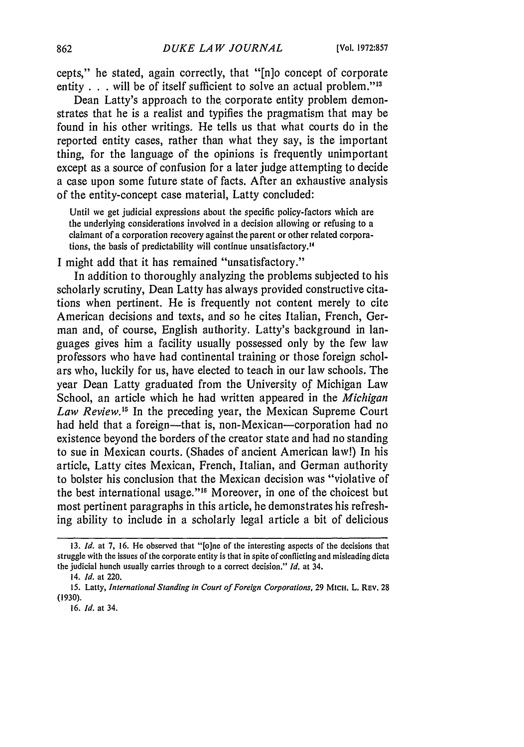cepts," he stated, again correctly, that "[n]o concept of corporate entity . . . will be of itself sufficient to solve an actual problem."<sup>13</sup>

Dean Latty's approach to the corporate entity problem demonstrates that he is a realist and typifies the pragmatism that may be found in his other writings. He tells us that what courts do in the reported entity cases, rather than what they say, is the important thing, for the language of the opinions is frequently unimportant except as a source of confusion for a later judge attempting to decide a case upon some future state of facts. After an exhaustive analysis of the entity-concept case material, Latty concluded:

Until we get judicial expressions about the specific policy-factors which are the underlying considerations involved in a decision allowing or refusing to a claimant of a corporation recovery against the parent or other related corporations, the basis of predictability will continue unsatisfactory."

I might add that it has remained "unsatisfactory."

In addition to thoroughly analyzing the problems subjected to his scholarly scrutiny, Dean Latty has always provided constructive citations when pertinent. He is frequently not content merely to cite American decisions and texts, and so he cites Italian, French, German and, of course, English authority. Latty's background in languages gives him a facility usually possessed only by the few law professors who have had continental training or those foreign scholars who, luckily for us, have elected to teach in our law schools. The year Dean Latty graduated from the University of Michigan Law School, an article which he had written appeared in the *Michigan* Law Review.<sup>15</sup> In the preceding year, the Mexican Supreme Court had held that a foreign—that is, non-Mexican—corporation had no existence beyond the borders of the creator state and had no standing to sue in Mexican courts. (Shades of ancient American law!) In his article, Latty cites Mexican, French, Italian, and German authority to bolster his conclusion that the Mexican decision was "violative of the best international usage."<sup>16</sup> Moreover, in one of the choicest but most pertinent paragraphs in this article, he demonstrates his refreshing ability to include in a scholarly legal article a bit of delicious

<sup>13.</sup> *Id.* at 7, 16. He observed that "[o]ne of the interesting aspects of the decisions that struggle with the issues of the corporate entity is that in spite of conflicting and misleading dicta the judicial hunch usually carries through to a correct decision." *Id.* at 34.

<sup>14.</sup> *Id.* at 220.

<sup>15.</sup> Latty, *International Standing in Court of Foreign Corporations,* 29 MicH. L. Rsv. 28 (1930).

*<sup>16.</sup> Id.* at 34.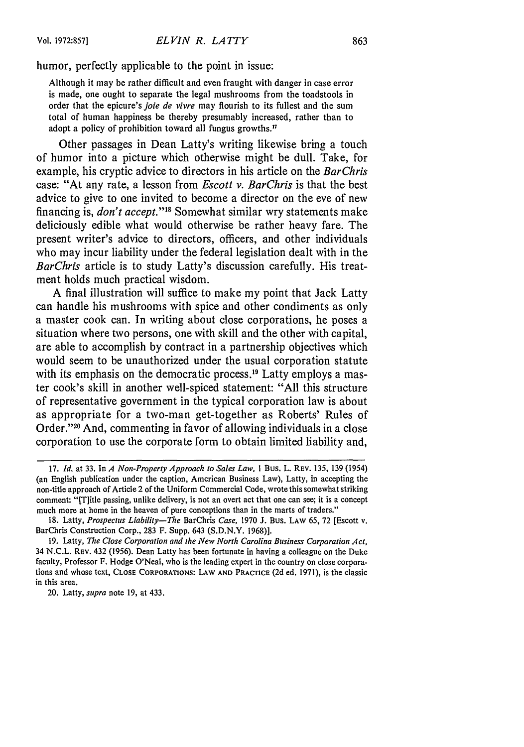humor, perfectly applicable to the point in issue:

Although it may be rather difficult and even fraught with danger in case error is made, one ought to separate the legal mushrooms from the toadstools in order that the epicure's *joie de vivre* may flourish to its fullest and the sum total of human happiness be thereby presumably increased, rather than to adopt a policy of prohibition toward all fungus growths.<sup>17</sup>

Other passages in Dean Latty's writing likewise bring a touch of humor into a picture which otherwise might be dull. Take, for example, his cryptic advice to directors in his article on the *BarChris* case: "At any rate, a lesson from *Escott v. BarChris* is that the best advice to give to one invited to become a director on the eve of new financing is, *don't accept.""i* Somewhat similar wry statements make deliciously edible what would otherwise be rather heavy fare. The present writer's advice to directors, officers, and other individuals who may incur liability under the federal legislation dealt with in the *BarChris* article is to study Latty's discussion carefully. His treatment holds much practical wisdom.

A final illustration will suffice to make my point that Jack Latty can handle his mushrooms with spice and other condiments as only a master cook can. In writing about close corporations, he poses a situation where two persons, one with skill and the other with capital, are able to accomplish by contract in a partnership objectives which would seem to be unauthorized under the usual corporation statute with its emphasis on the democratic process.<sup>19</sup> Latty employs a master cook's skill in another well-spiced statement: "All this structure of representative government in the typical corporation law is about as appropriate for a two-man get-together as Roberts' Rules of Order."<sup>20</sup> And, commenting in favor of allowing individuals in a close corporation to use the corporate form to obtain limited liability and,

20. Latty, *supra* note 19, at 433.

<sup>17.</sup> *Id.* at 33. In *A Non-Property Approach to Sales Law,* 1 Bus. L. REV. 135, 139 (1954) (an English publication under the caption, American Business Law), Latty, in accepting the non-title approach of Article 2 of the Uniform Commercial Code, wrote this somewhat striking comment: "[T]itle passing, unlike delivery, is not an overt act that one can see; it is a concept much more at home in the heaven of pure conceptions than in the marts of traders."

<sup>18.</sup> Latty, *Prospectus Liability-The* BarChris *Case,* 1970 J. Bus. LAW 65, 72 [Escott v. BarChris Construction Corp., 283 F. Supp. 643 (S.D.N.Y. 1968)].

<sup>19.</sup> Latty, *The Close Corporation and the New North Carolina Business Corporation Act,* 34 N.C.L. REv. 432 (1956). Dean Latty has been fortunate in having a colleague on the Duke faculty, Professor F. Hodge O'Neal, who is the leading expert in the country on close corporations and whose text, **CLOSE** CORPORATIONS: LAW **AND** PRACTICE **(2d** ed. 1971), is the classic in this area.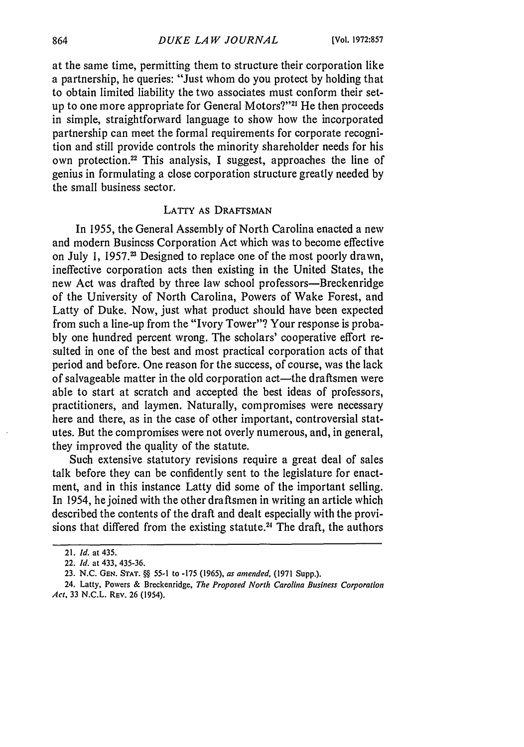at the same time, permitting them to structure their corporation like a partnership, he queries: "Just whom do you protect by holding that to obtain limited liability the two associates must conform their setup to one more appropriate for General Motors?"<sup>21</sup> He then proceeds in simple, straightforward language to show how the incorporated partnership can meet the formal requirements for corporate recognition and still provide controls the minority shareholder needs for his own protection.<sup>22</sup> This analysis, I suggest, approaches the line of genius in formulating a close corporation structure greatly needed by the small business sector.

### LATTY AS DRAFTSMAN

In 1955, the General Assembly of North Carolina enacted a new and modern Business Corporation Act which was to become effective on July 1, **1957.21** Designed to replace one of the most poorly drawn, ineffective corporation acts then existing in the United States, the new Act was drafted by three law school professors—Breckenridge of the University of North Carolina, Powers of Wake Forest, and Latty of Duke. Now, just what product should have been expected from such a line-up from the "Ivory Tower"? Your response is probably one hundred percent wrong. The scholars' cooperative effort resulted in one of the best and most practical corporation acts of that period and before. One reason for the success, of course, was the lack of salvageable matter in the old corporation act—the draftsmen were able to start at scratch and accepted the best ideas of professors, practitioners, and laymen. Naturally, compromises were necessary here and there, as in the case of other important, controversial statutes. But the compromises were not overly numerous, and, in general, they improved the quality of the statute.

Such extensive statutory revisions require a great deal of sales talk before they can be confidently sent to the legislature for enactment, and in this instance Latty did some of the important selling. In 1954, he joined with the other draftsmen in writing an article which described the contents of the draft and dealt especially with the provisions that differed from the existing statute.<sup>24</sup> The draft, the authors

<sup>21.</sup> *Id.* at 435.

<sup>22.</sup> *Id.* at 433, 435-36.

**<sup>23.</sup>** N.C. **GEN. STAT. §§** 55-1 to -175 **(1965),** *as amended,* (1971 Supp.).

<sup>24.</sup> Latty, Powers & Breckenridge, *The Proposed North Carolina Business Corporation Act,* 33 N.C.L. REv. 26 (1954).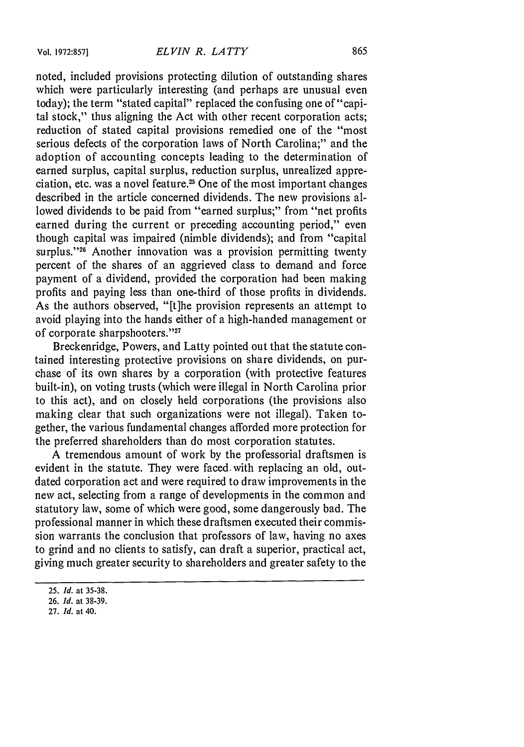noted, included provisions protecting dilution of outstanding shares which were particularly interesting (and perhaps are unusual even today); the term "stated capital" replaced the confusing one of "capital stock," thus aligning the Act with other recent corporation acts; reduction of stated capital provisions remedied one of the "most serious defects of the corporation laws of North Carolina;" and the adoption of accounting concepts leading to the determination of earned surplus, capital surplus, reduction surplus, unrealized appreciation, etc. was a novel feature.<sup>25</sup> One of the most important changes described in the article concerned dividends. The new provisions allowed dividends to be paid from "earned surplus;" from "net profits earned during the current or preceding accounting period," even though capital was impaired (nimble dividends); and from "capital surplus."<sup>26</sup> Another innovation was a provision permitting twenty percent of the shares of an aggrieved class to demand and force payment of a dividend, provided the corporation had been making profits and paying less than one-third of those profits in dividends. As the authors observed, "[t]he provision represents an attempt to avoid playing into the hands either of a high-handed management or of corporate sharpshooters."<sup>27</sup>

Breckenridge, Powers, and Latty pointed out that the statute contained interesting protective provisions on share dividends, on purchase of its own shares by a corporation (with protective features built-in), on voting trusts (which were illegal in North Carolina prior to this act), and on closely held corporations (the provisions also making clear that such organizations were not illegal). Taken together, the various fundamental changes afforded more protection for the preferred shareholders than do most corporation statutes.

A tremendous amount of work by the professorial draftsmen is evident in the statute. They were faced.with replacing an old, outdated corporation act and were required to draw improvements in the new act, selecting from a range of developments in the common and statutory law, some of which were good, some dangerously bad. The professional manner in which these draftsmen executed their commission warrants the conclusion that professors of law, having no axes to grind and no clients to satisfy, can draft a superior, practical act, giving much greater security to shareholders and greater safety to the

**<sup>25.</sup>** *Id.* at **35-38.**

**<sup>26.</sup>** *Id.* at **38-39.**

**<sup>27.</sup>** *Id.* at 40.